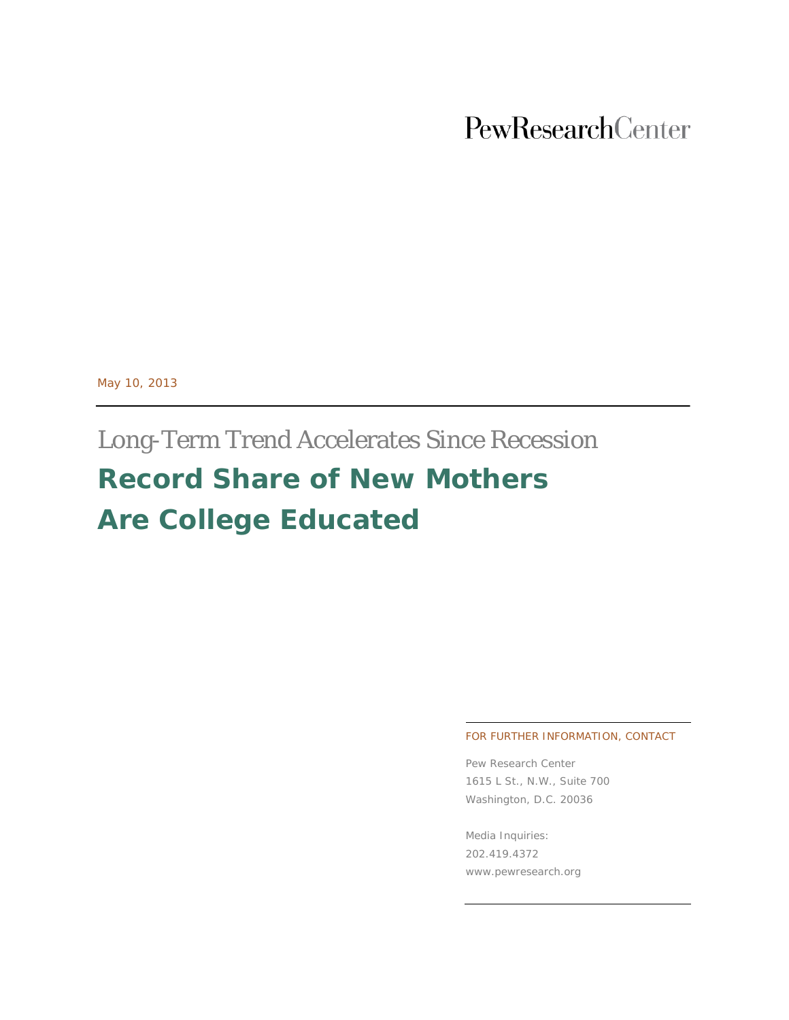# PewResearchCenter

May 10, 2013

# Long-Term Trend Accelerates Since Recession **Record Share of New Mothers Are College Educated**

#### FOR FURTHER INFORMATION, CONTACT

Pew Research Center 1615 L St., N.W., Suite 700 Washington, D.C. 20036

Media Inquiries: 202.419.4372 www.pewresearch.org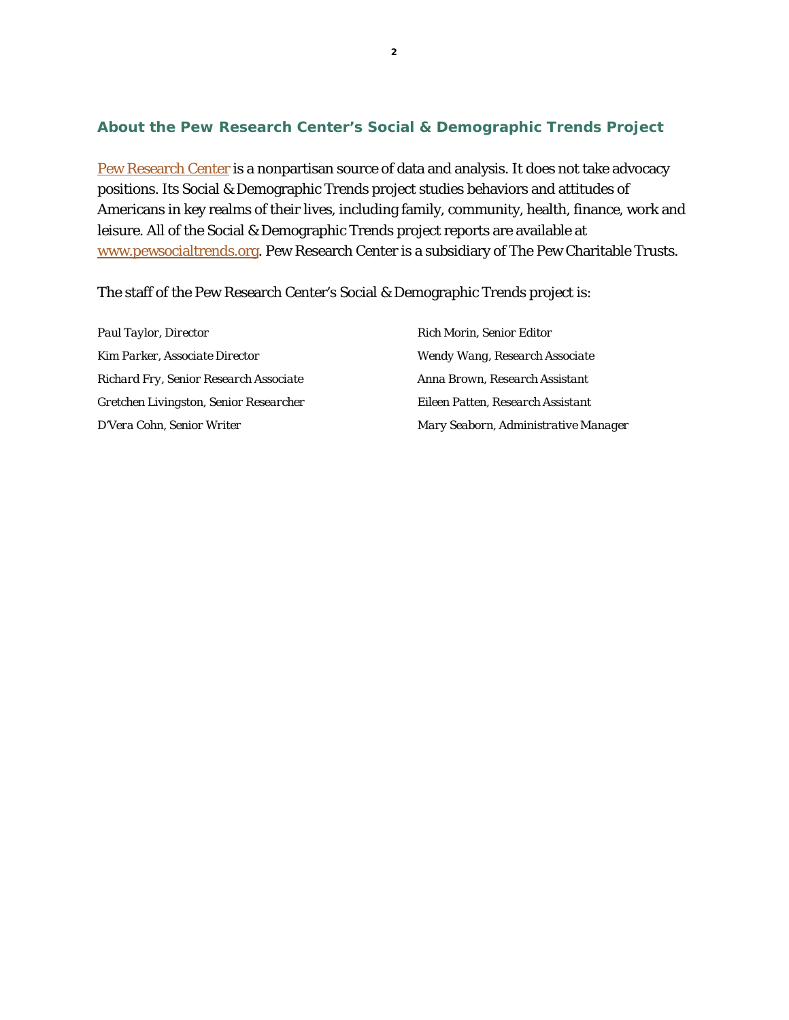### **About the Pew Research Center's Social & Demographic Trends Project**

[Pew Research Center](http://www.pewresearch.org/) is a nonpartisan source of data and analysis. It does not take advocacy positions. Its Social & Demographic Trends project studies behaviors and attitudes of Americans in key realms of their lives, including family, community, health, finance, work and leisure. All of the Social & Demographic Trends project reports are available at [www.pewsocialtrends.org.](http://www.pewsocialtrends.org/) Pew Research Center is a subsidiary of The Pew Charitable Trusts.

The staff of the Pew Research Center's Social & Demographic Trends project is:

*Paul Taylor, Director Kim Parker, Associate Director Richard Fry, Senior Research Associate Gretchen Livingston, Senior Researcher D'Vera Cohn, Senior Writer*

*Rich Morin, Senior Editor Wendy Wang, Research Associate Anna Brown, Research Assistant Eileen Patten, Research Assistant Mary Seaborn, Administrative Manager*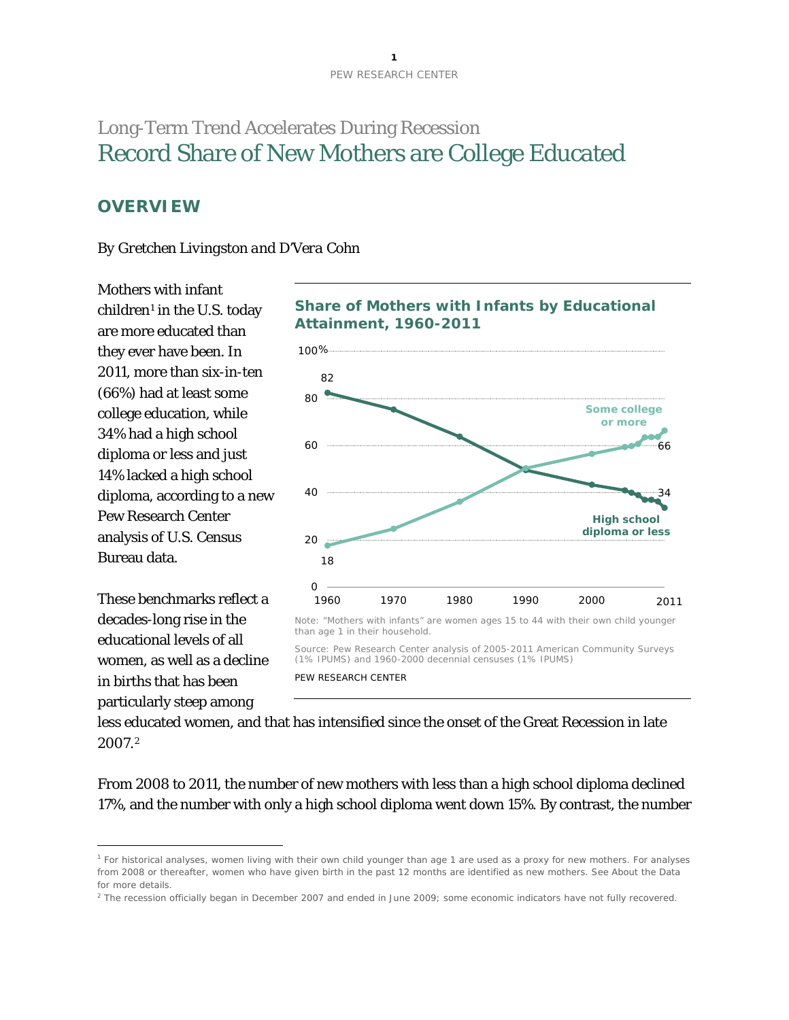# Long-Term Trend Accelerates During Recession Record Share of New Mothers are College Educated

# **OVERVIEW**

#### *By Gretchen Livingston and D'Vera Cohn*

Mothers with infant  $children<sup>1</sup>$  $children<sup>1</sup>$  $children<sup>1</sup>$  in the U.S. today are more educated than they ever have been. In 2011, more than six-in-ten (66%) had at least some college education, while 34% had a high school diploma or less and just 14% lacked a high school diploma, according to a new Pew Research Center analysis of U.S. Census Bureau data.



 $\overline{a}$ 





less educated women, and that has intensified since the onset of the Great Recession in late 2007.[2](#page-2-1)

From 2008 to 2011, the number of new mothers with less than a high school diploma declined 17%, and the number with only a high school diploma went down 15%. By contrast, the number

<span id="page-2-0"></span><sup>1</sup> For historical analyses, women living with their own child younger than age 1 are used as a proxy for new mothers. For analyses from 2008 or thereafter, women who have given birth in the past 12 months are identified as new mothers. See About the Data for more details.

<span id="page-2-1"></span><sup>&</sup>lt;sup>2</sup> The recession officially began in December 2007 and ended in June 2009; some economic indicators have not fully recovered.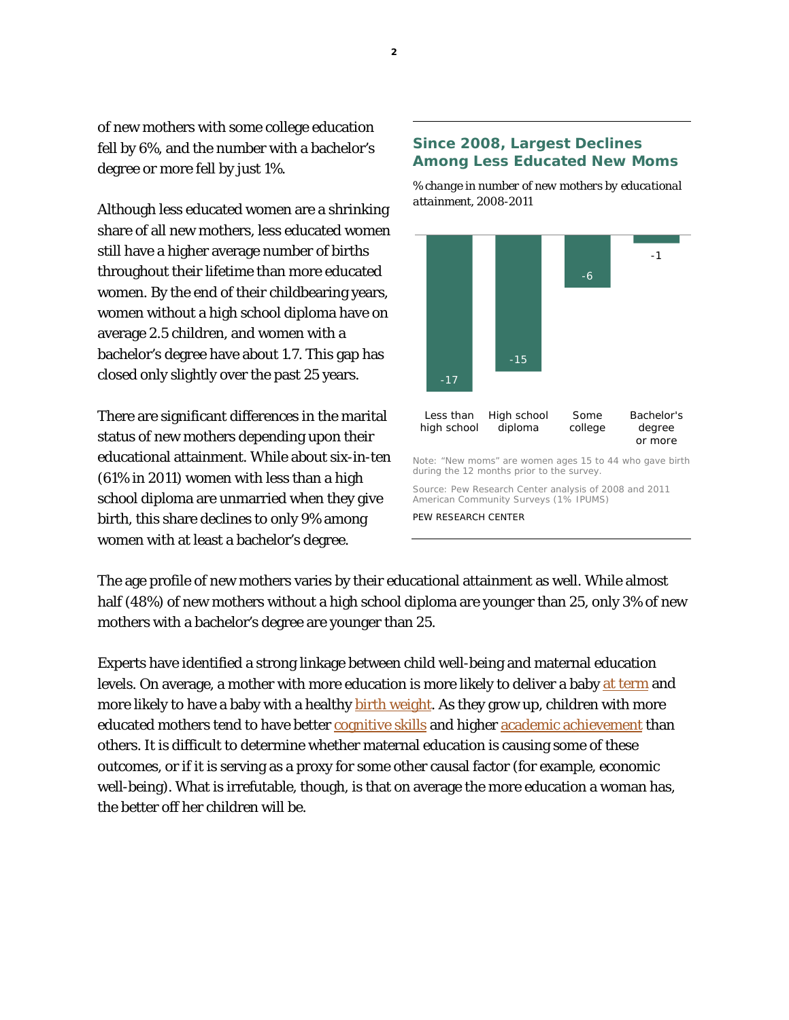of new mothers with some college education fell by 6%, and the number with a bachelor's degree or more fell by just 1%.

Although less educated women are a shrinking share of all new mothers, less educated women still have a higher average number of births throughout their lifetime than more educated women. By the end of their childbearing years, women without a high school diploma have on average 2.5 children, and women with a bachelor's degree have about 1.7. This gap has closed only slightly over the past 25 years.

There are significant differences in the marital status of new mothers depending upon their educational attainment. While about six-in-ten (61% in 2011) women with less than a high school diploma are unmarried when they give birth, this share declines to only 9% among women with at least a bachelor's degree.

#### **Since 2008, Largest Declines Among Less Educated New Moms**

*% change in number of new mothers by educational attainment, 2008-2011*



The age profile of new mothers varies by their educational attainment as well. While almost half (48%) of new mothers without a high school diploma are younger than 25, only 3% of new mothers with a bachelor's degree are younger than 25.

Experts have identified a strong linkage between child well-being and maternal education levels. On average, a mother with more education is more likely to deliver a baby [at term](http://www.nber.org/papers/w9360) and more likely to have a baby with a healthy **birth weight**. As they grow up, children with more educated mothers tend to have better [cognitive skills](http://www.eric.ed.gov/ERICWebPortal/search/detailmini.jsp?_nfpb=true&_&ERICExtSearch_SearchValue_0=EJ779954&ERICExtSearch_SearchType_0=no&accno=EJ779954) and higher [academic achievement](http://www.ncbi.nlm.nih.gov/pmc/articles/PMC2853053/) than others. It is difficult to determine whether maternal education is causing some of these outcomes, or if it is serving as a proxy for some other causal factor (for example, economic well-being). What is irrefutable, though, is that on average the more education a woman has, the better off her children will be.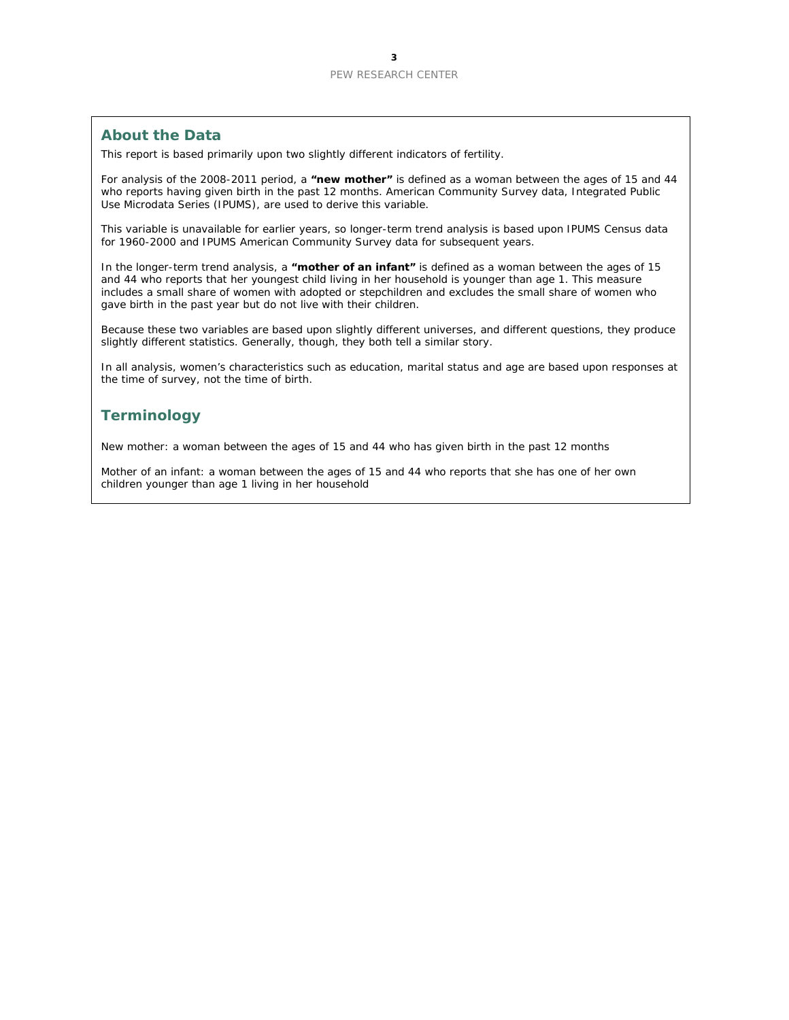#### **About the Data**

This report is based primarily upon two slightly different indicators of fertility.

For analysis of the 2008-2011 period, a **"new mother"** is defined as a woman between the ages of 15 and 44 who reports having given birth in the past 12 months. American Community Survey data, Integrated Public Use Microdata Series (IPUMS), are used to derive this variable.

This variable is unavailable for earlier years, so longer-term trend analysis is based upon IPUMS Census data for 1960-2000 and IPUMS American Community Survey data for subsequent years.

In the longer-term trend analysis, a **"mother of an infant"** is defined as a woman between the ages of 15 and 44 who reports that her youngest child living in her household is younger than age 1. This measure includes a small share of women with adopted or stepchildren and excludes the small share of women who gave birth in the past year but do not live with their children.

Because these two variables are based upon slightly different universes, and different questions, they produce slightly different statistics. Generally, though, they both tell a similar story.

In all analysis, women's characteristics such as education, marital status and age are based upon responses at the time of survey, not the time of birth.

#### **Terminology**

New mother: a woman between the ages of 15 and 44 who has given birth in the past 12 months

Mother of an infant: a woman between the ages of 15 and 44 who reports that she has one of her own children younger than age 1 living in her household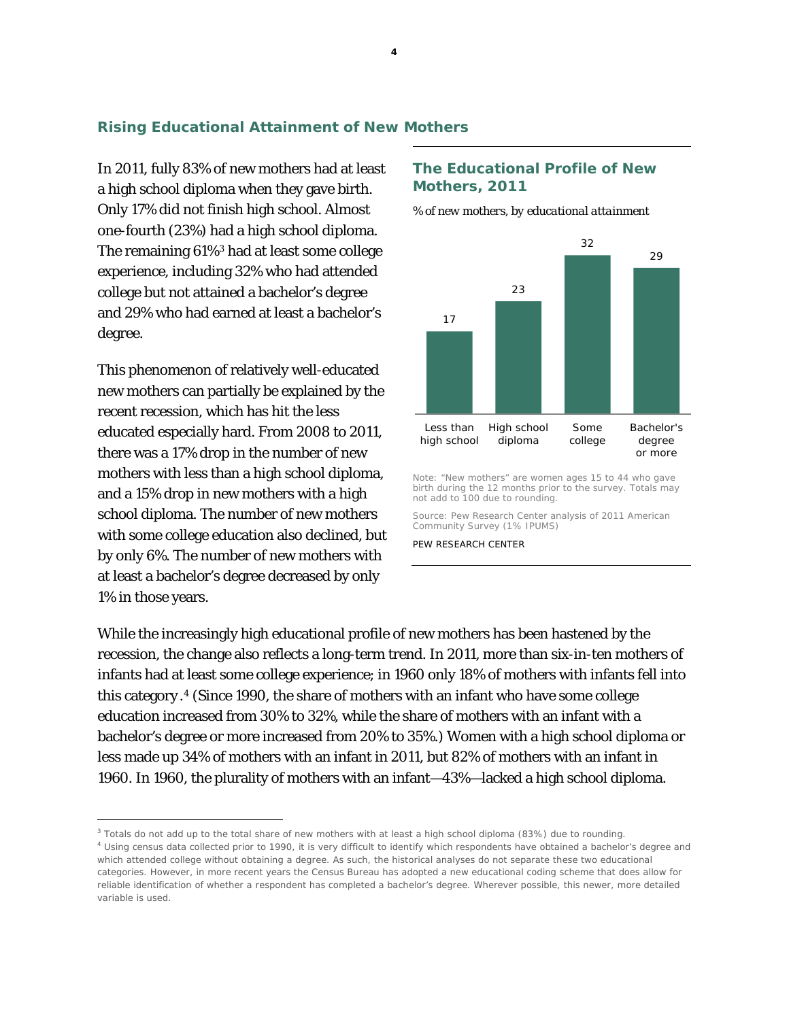#### **Rising Educational Attainment of New Mothers**

In 2011, fully 83% of new mothers had at least a high school diploma when they gave birth. Only 17% did not finish high school. Almost one-fourth (23%) had a high school diploma. The remaining 61%[3](#page-5-0) had at least some college experience, including 32% who had attended college but not attained a bachelor's degree and 29% who had earned at least a bachelor's degree.

This phenomenon of relatively well-educated new mothers can partially be explained by the recent recession, which has hit the less educated especially hard. From 2008 to 2011, there was a 17% drop in the number of new mothers with less than a high school diploma, and a 15% drop in new mothers with a high school diploma. The number of new mothers with some college education also declined, but by only 6%. The number of new mothers with at least a bachelor's degree decreased by only 1% in those years.

 $\overline{a}$ 

#### **The Educational Profile of New Mothers, 2011**

*% of new mothers, by educational attainment*



Note: "New mothers" are women ages 15 to 44 who gave birth during the 12 months prior to the survey. Totals may not add to 100 due to rounding.

Source: Pew Research Center analysis of 2011 American Community Survey (1% IPUMS)

PEW RESEARCH CENTER

While the increasingly high educational profile of new mothers has been hastened by the recession, the change also reflects a long-term trend. In 2011, more than six-in-ten mothers of infants had at least some college experience; in 1960 only 18% of mothers with infants fell into this category .[4](#page-5-1) (Since 1990, the share of mothers with an infant who have some college education increased from 30% to 32%, while the share of mothers with an infant with a bachelor's degree or more increased from 20% to 35%.) Women with a high school diploma or less made up 34% of mothers with an infant in 2011, but 82% of mothers with an infant in 1960. In 1960, the plurality of mothers with an infant—43%—lacked a high school diploma.

<span id="page-5-1"></span><span id="page-5-0"></span><sup>&</sup>lt;sup>3</sup> Totals do not add up to the total share of new mothers with at least a high school diploma (83%) due to rounding. <sup>4</sup> Using census data collected prior to 1990, it is very difficult to identify which respondents have obtained a bachelor's degree and which attended college without obtaining a degree. As such, the historical analyses do not separate these two educational categories. However, in more recent years the Census Bureau has adopted a new educational coding scheme that does allow for reliable identification of whether a respondent has completed a bachelor's degree. Wherever possible, this newer, more detailed variable is used.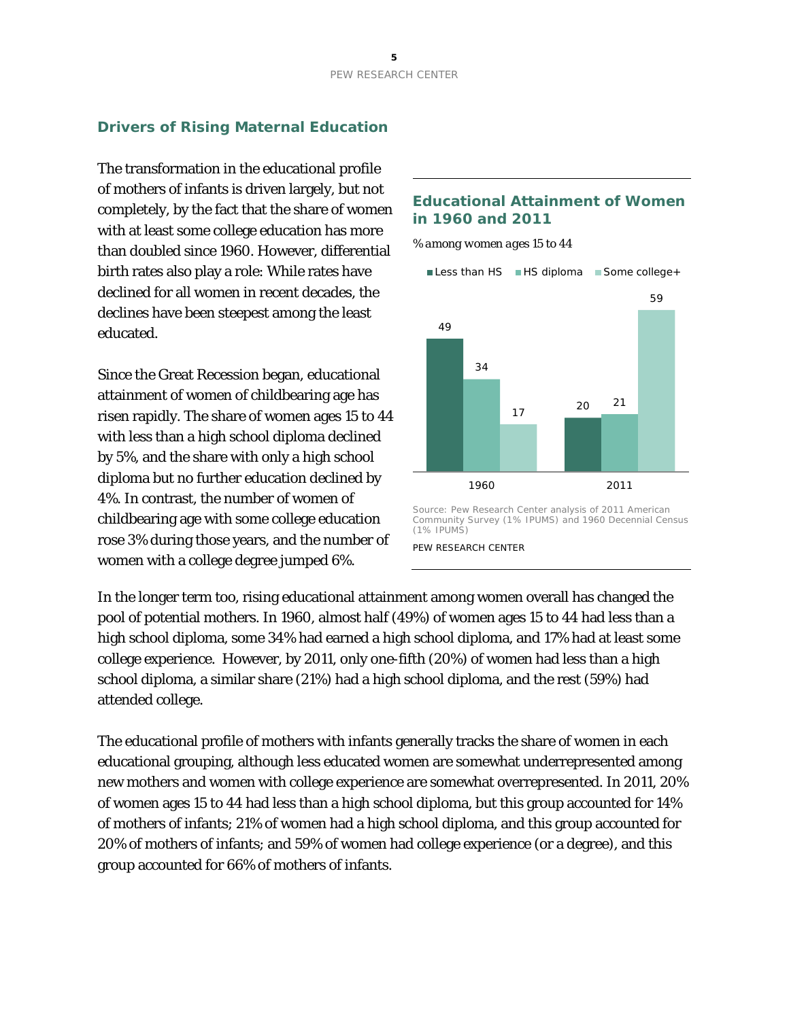#### **Drivers of Rising Maternal Education**

The transformation in the educational profile of mothers of infants is driven largely, but not completely, by the fact that the share of women with at least some college education has more than doubled since 1960. However, differential birth rates also play a role: While rates have declined for all women in recent decades, the declines have been steepest among the least educated.

Since the Great Recession began, educational attainment of women of childbearing age has risen rapidly. The share of women ages 15 to 44 with less than a high school diploma declined by 5%, and the share with only a high school diploma but no further education declined by 4%. In contrast, the number of women of childbearing age with some college education rose 3% during those years, and the number of women with a college degree jumped 6%.

#### **Educational Attainment of Women in 1960 and 2011**

*% among women ages 15 to 44*



Source: Pew Research Center analysis of 2011 American Community Survey (1% IPUMS) and 1960 Decennial Census (1% IPUMS)

PEW RESEARCH CENTER

In the longer term too, rising educational attainment among women overall has changed the pool of potential mothers. In 1960, almost half (49%) of women ages 15 to 44 had less than a high school diploma, some 34% had earned a high school diploma, and 17% had at least some college experience. However, by 2011, only one-fifth (20%) of women had less than a high school diploma, a similar share (21%) had a high school diploma, and the rest (59%) had attended college.

The educational profile of mothers with infants generally tracks the share of women in each educational grouping, although less educated women are somewhat underrepresented among new mothers and women with college experience are somewhat overrepresented. In 2011, 20% of women ages 15 to 44 had less than a high school diploma, but this group accounted for 14% of mothers of infants; 21% of women had a high school diploma, and this group accounted for 20% of mothers of infants; and 59% of women had college experience (or a degree), and this group accounted for 66% of mothers of infants.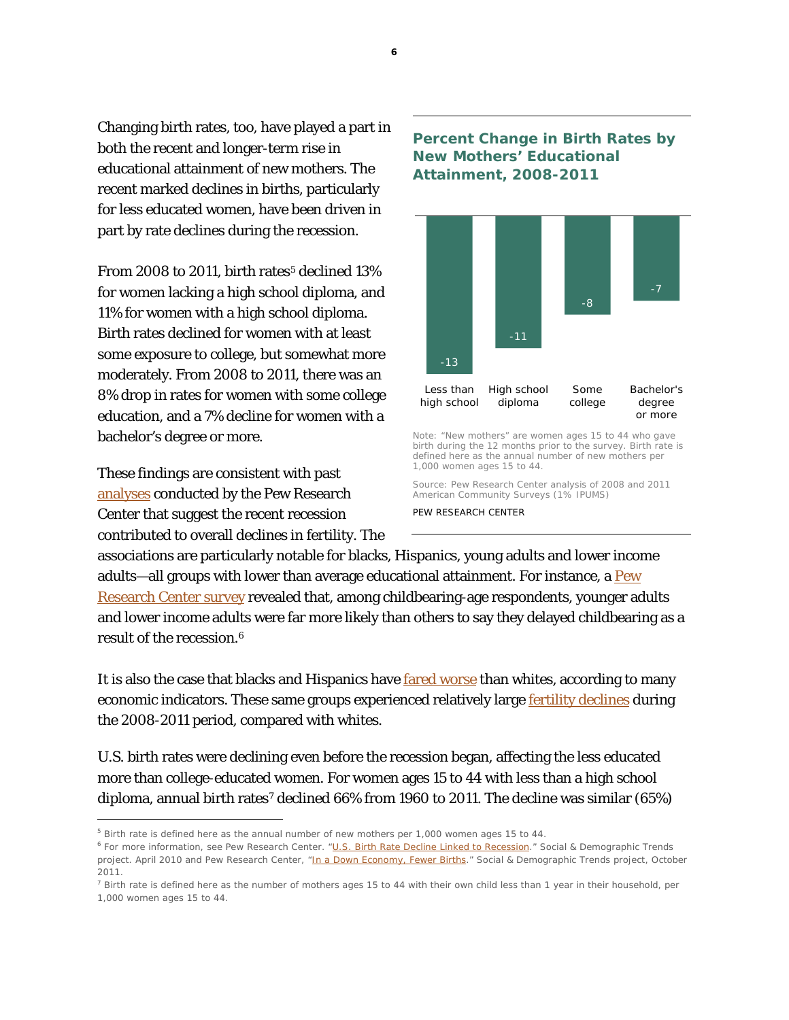Changing birth rates, too, have played a part in both the recent and longer-term rise in educational attainment of new mothers. The recent marked declines in births, particularly for less educated women, have been driven in part by rate declines during the recession.

From 2008 to 2011, birth rates<sup>[5](#page-7-0)</sup> declined  $13\%$ for women lacking a high school diploma, and 11% for women with a high school diploma. Birth rates declined for women with at least some exposure to college, but somewhat more moderately. From 2008 to 2011, there was an 8% drop in rates for women with some college education, and a 7% decline for women with a bachelor's degree or more.

These findings are consistent with past [analyses](http://www.pewsocialtrends.org/2011/10/12/in-a-down-economy-fewer-births/) conducted by the Pew Research Center that suggest the recent recession contributed to overall declines in fertility. The

 $\overline{a}$ 

#### **Percent Change in Birth Rates by New Mothers' Educational Attainment, 2008-2011**



Note: "New mothers" are women ages 15 to 44 who gave birth during the 12 months prior to the survey. Birth rate is defined here as the annual number of new mothers per 1,000 women ages 15 to 44.

Source: Pew Research Center analysis of 2008 and 2011 American Community Surveys (1% IPUMS)

PEW RESEARCH CENTER

associations are particularly notable for blacks, Hispanics, young adults and lower income adults—all groups with lower than average educational attainment. For instance, a  $Pew$ [Research Center survey](http://www.pewsocialtrends.org/2010/04/06/us-birth-rate-decline-linked-to-recession/) revealed that, among childbearing-age respondents, younger adults and lower income adults were far more likely than others to say they delayed childbearing as a result of the recession.[6](#page-7-1)

It is also the case that blacks and Hispanics have [fared worse](http://www.pewhispanic.org/2011/07/26/the-toll-of-the-great-recession/) than whites, according to many economic indicators. These same groups experienced relatively large [fertility declines](http://www.pewsocialtrends.org/2011/10/12/in-a-down-economy-fewer-births/) during the 2008-2011 period, compared with whites.

U.S. birth rates were declining even before the recession began, affecting the less educated more than college-educated women. For women ages 15 to 44 with less than a high school diploma, annual birth rates<sup>[7](#page-7-2)</sup> declined 66% from 1960 to 2011. The decline was similar (65%)

<span id="page-7-0"></span><sup>5</sup> Birth rate is defined here as the annual number of new mothers per 1,000 women ages 15 to 44.

<span id="page-7-1"></span><sup>6</sup> For more information, see Pew Research Center. ["U.S. Birth Rate Decline Linked to Recession.](http://www.pewsocialtrends.org/2010/04/06/us-birth-rate-decline-linked-to-recession/)" Social & Demographic Trends project. April 2010 and Pew Research Center, ["In a Down Economy, Fewer Births.](http://www.pewsocialtrends.org/2011/10/12/in-a-down-economy-fewer-births/)" Social & Demographic Trends project, October 2011.

<span id="page-7-2"></span> $7$  Birth rate is defined here as the number of mothers ages 15 to 44 with their own child less than 1 year in their household, per 1,000 women ages 15 to 44.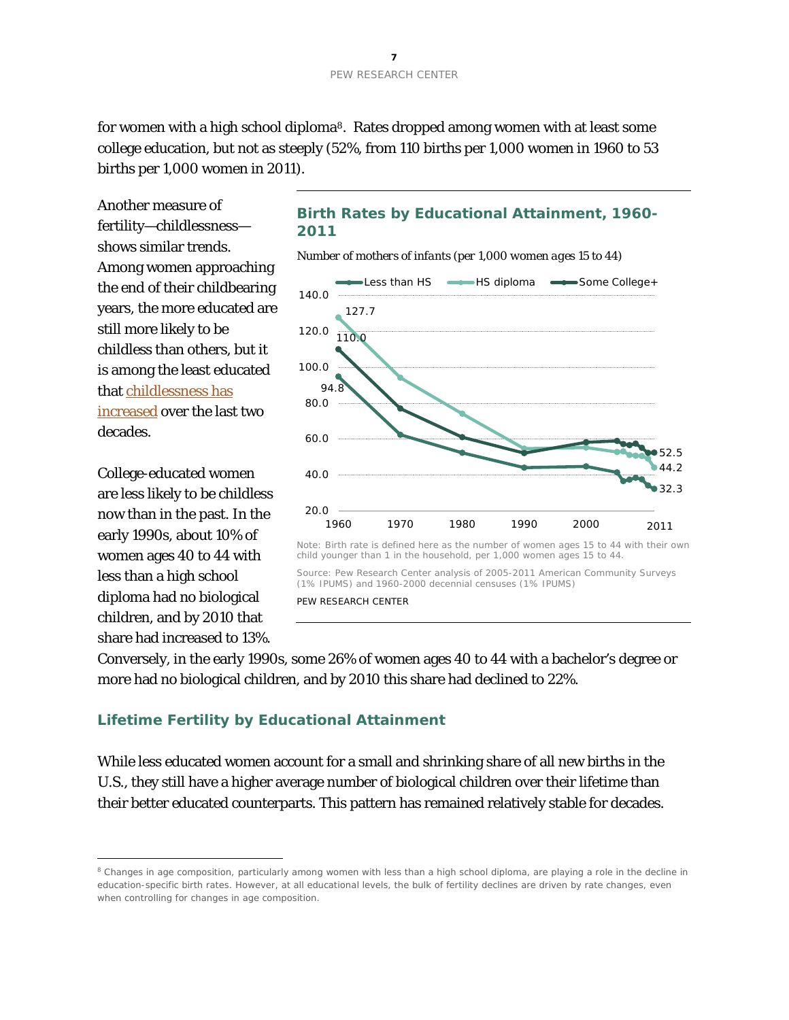for women with a high school diploma<sup>8</sup>. Rates dropped among women with at least some college education, but not as steeply (52%, from 110 births per 1,000 women in 1960 to 53 births per 1,000 women in 2011).

Another measure of fertility—childlessness shows similar trends. Among women approaching the end of their childbearing years, the more educated are still more likely to be childless than others, but it is among the least educated that [childlessness has](http://www.pewsocialtrends.org/2010/06/25/childlessness-up-among-all-women-down-among-women-with-advanced-degrees/)  [increased](http://www.pewsocialtrends.org/2010/06/25/childlessness-up-among-all-women-down-among-women-with-advanced-degrees/) over the last two decades.

College-educated women are less likely to be childless now than in the past. In the early 1990s, about 10% of women ages 40 to 44 with less than a high school diploma had no biological children, and by 2010 that share had increased to 13%.

 $\overline{a}$ 

# **Birth Rates by Educational Attainment, 1960- 2011**

*Number of mothers of infants (per 1,000 women ages 15 to 44)*



Source: Pew Research Center analysis of 2005-2011 American Community Surveys (1% IPUMS) and 1960-2000 decennial censuses (1% IPUMS) PEW RESEARCH CENTER

Conversely, in the early 1990s, some 26% of women ages 40 to 44 with a bachelor's degree or more had no biological children, and by 2010 this share had declined to 22%.

### **Lifetime Fertility by Educational Attainment**

While less educated women account for a small and shrinking share of all new births in the U.S., they still have a higher average number of biological children over their lifetime than their better educated counterparts. This pattern has remained relatively stable for decades.

<span id="page-8-0"></span><sup>&</sup>lt;sup>8</sup> Changes in age composition, particularly among women with less than a high school diploma, are playing a role in the decline in education-specific birth rates. However, at all educational levels, the bulk of fertility declines are driven by rate changes, even when controlling for changes in age composition.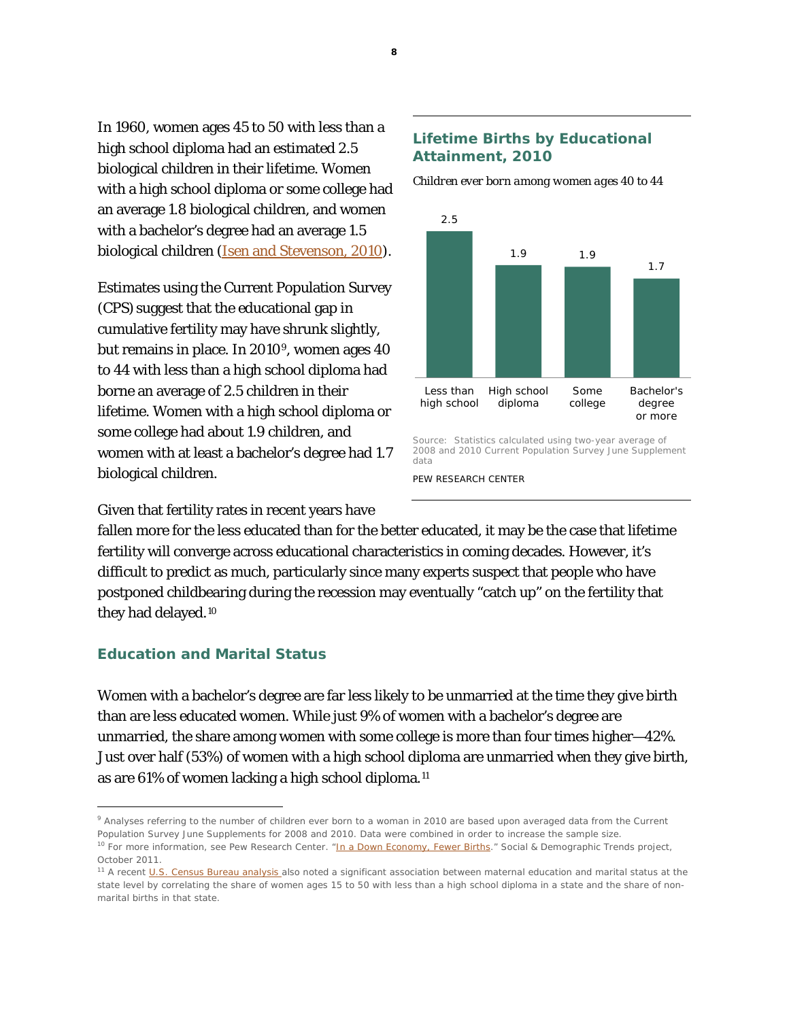In 1960, women ages 45 to 50 with less than a high school diploma had an estimated 2.5 biological children in their lifetime. Women with a high school diploma or some college had an average 1.8 biological children, and women with a bachelor's degree had an average 1.5 biological children [\(Isen and Stevenson, 2010\)](http://www.nber.org/papers/w15725).

Estimates using the Current Population Survey (CPS) suggest that the educational gap in cumulative fertility may have shrunk slightly, but remains in place. In 2010[9](#page-9-0), women ages 40 to 44 with less than a high school diploma had borne an average of 2.5 children in their lifetime. Women with a high school diploma or some college had about 1.9 children, and women with at least a bachelor's degree had 1.7 biological children.

#### **Lifetime Births by Educational Attainment, 2010**

*Children ever born among women ages 40 to 44*



2008 and 2010 Current Population Survey June Supplement data

PEW RESEARCH CENTER

Given that fertility rates in recent years have

fallen more for the less educated than for the better educated, it may be the case that lifetime fertility will converge across educational characteristics in coming decades. However, it's difficult to predict as much, particularly since many experts suspect that people who have postponed childbearing during the recession may eventually "catch up" on the fertility that they had delayed.[10](#page-9-1)

#### **Education and Marital Status**

Women with a bachelor's degree are far less likely to be unmarried at the time they give birth than are less educated women. While just 9% of women with a bachelor's degree are unmarried, the share among women with some college is more than four times higher—42%. Just over half (53%) of women with a high school diploma are unmarried when they give birth, as are 61% of women lacking a high school diploma.[11](#page-9-2)

 $\overline{a}$ 

<span id="page-9-0"></span><sup>9</sup> Analyses referring to the number of children ever born to a woman in 2010 are based upon averaged data from the Current Population Survey June Supplements for 2008 and 2010. Data were combined in order to increase the sample size. <sup>10</sup> For more information, see Pew Research Center. ["In a Down Economy, Fewer Births.](http://www.pewsocialtrends.org/files/2011/10/REVISITING-FERTILITY-AND-THE-RECESSION-FINAL.pdf)" Social & Demographic Trends project,

<span id="page-9-1"></span>October 2011.

<span id="page-9-2"></span><sup>&</sup>lt;sup>11</sup> A recen[t U.S. Census Bureau analysis a](http://www.census.gov/prod/2013pubs/acs-21.pdf)lso noted a significant association between maternal education and marital status at the state level by correlating the share of women ages 15 to 50 with less than a high school diploma in a state and the share of nonmarital births in that state.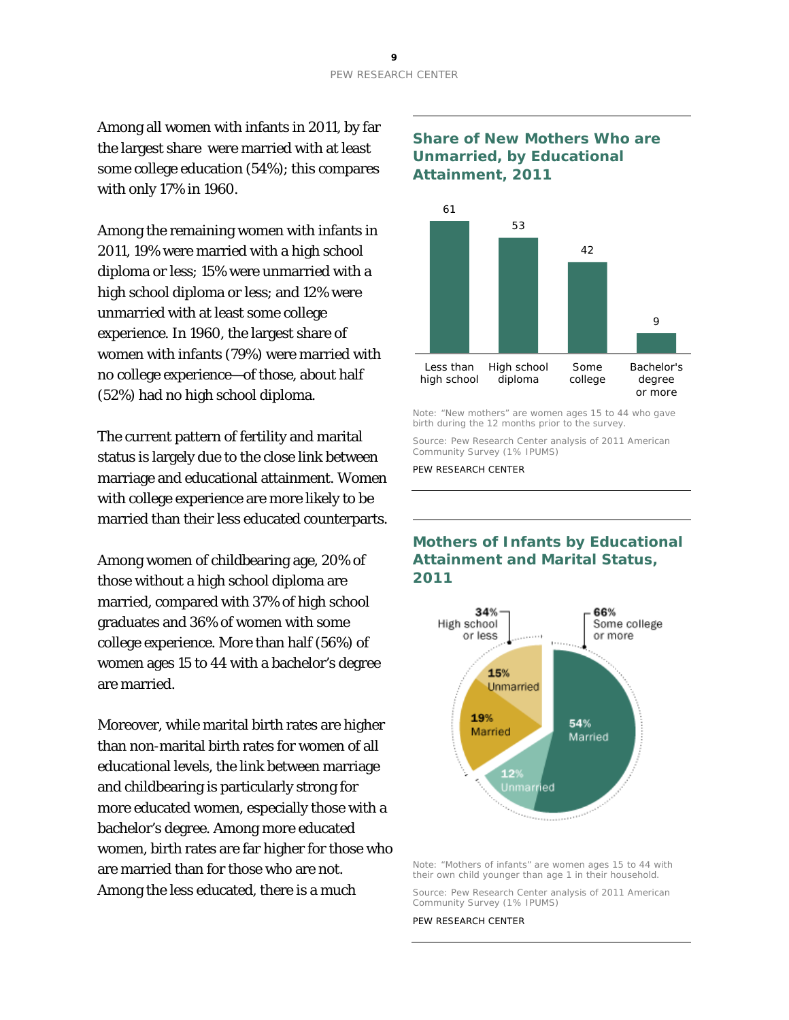Among all women with infants in 2011, by far the largest share were married with at least some college education (54%); this compares with only 17% in 1960.

Among the remaining women with infants in 2011, 19% were married with a high school diploma or less; 15% were unmarried with a high school diploma or less; and 12% were unmarried with at least some college experience. In 1960, the largest share of women with infants (79%) were married with no college experience—of those, about half (52%) had no high school diploma.

The current pattern of fertility and marital status is largely due to the close link between marriage and educational attainment. Women with college experience are more likely to be married than their less educated counterparts.

Among women of childbearing age, 20% of those without a high school diploma are married, compared with 37% of high school graduates and 36% of women with some college experience. More than half (56%) of women ages 15 to 44 with a bachelor's degree are married.

Moreover, while marital birth rates are higher than non-marital birth rates for women of all educational levels, the link between marriage and childbearing is particularly strong for more educated women, especially those with a bachelor's degree. Among more educated women, birth rates are far higher for those who are married than for those who are not. Among the less educated, there is a much

#### **Share of New Mothers Who are Unmarried, by Educational Attainment, 2011**



Note: "New mothers" are women ages 15 to 44 who gave birth during the 12 months prior to the survey.

Source: Pew Research Center analysis of 2011 American Community Survey (1% IPUMS)

PEW RESEARCH CENTER

## **Mothers of Infants by Educational Attainment and Marital Status, 2011**



Note: "Mothers of infants" are women ages 15 to 44 with their own child younger than age 1 in their household.

Source: Pew Research Center analysis of 2011 American Community Survey (1% IPUMS)

PEW RESEARCH CENTER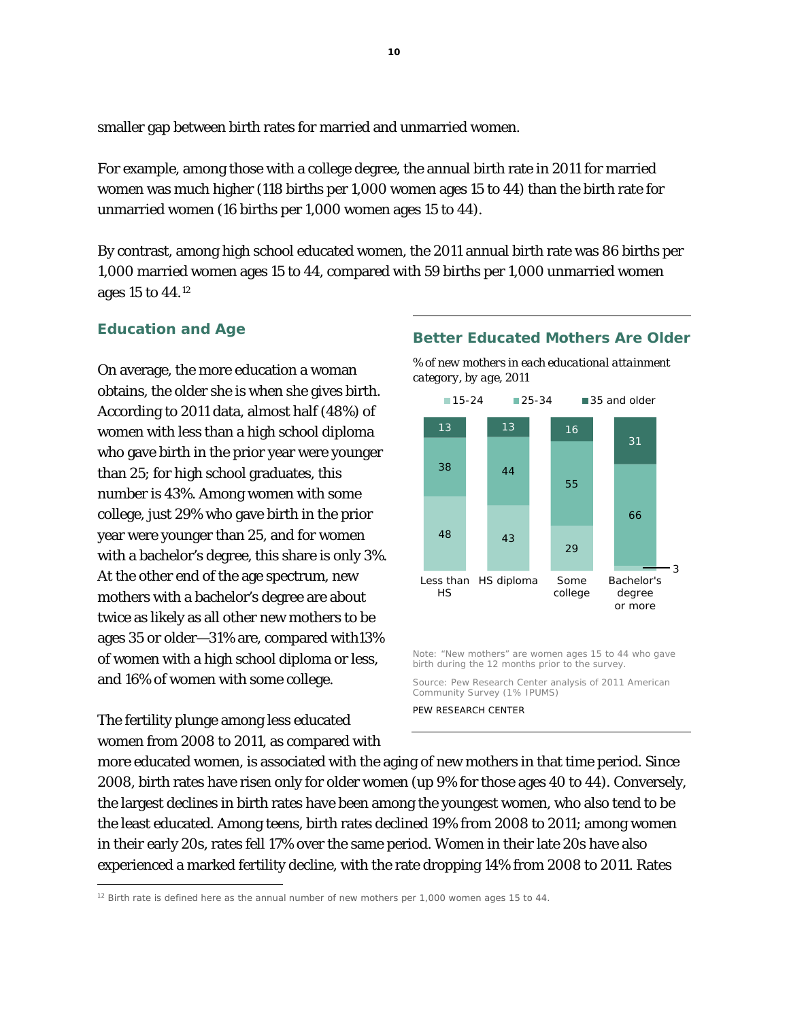smaller gap between birth rates for married and unmarried women.

For example, among those with a college degree, the annual birth rate in 2011 for married women was much higher (118 births per 1,000 women ages 15 to 44) than the birth rate for unmarried women (16 births per 1,000 women ages 15 to 44).

By contrast, among high school educated women, the 2011 annual birth rate was 86 births per 1,000 married women ages 15 to 44, compared with 59 births per 1,000 unmarried women ages 15 to 44.[12](#page-11-0)

#### **Education and Age**

On average, the more education a woman obtains, the older she is when she gives birth. According to 2011 data, almost half (48%) of women with less than a high school diploma who gave birth in the prior year were younger than 25; for high school graduates, this number is 43%. Among women with some college, just 29% who gave birth in the prior year were younger than 25, and for women with a bachelor's degree, this share is only 3%. At the other end of the age spectrum, new mothers with a bachelor's degree are about twice as likely as all other new mothers to be ages 35 or older—31% are, compared with13% of women with a high school diploma or less, and 16% of women with some college.

The fertility plunge among less educated women from 2008 to 2011, as compared with

 $\overline{a}$ 

#### **Better Educated Mothers Are Older**

*% of new mothers in each educational attainment category, by age, 2011*



Note: "New mothers" are women ages 15 to 44 who gave birth during the 12 months prior to the survey.

Source: Pew Research Center analysis of 2011 American Community Survey (1% IPUMS)

PEW RESEARCH CENTER

more educated women, is associated with the aging of new mothers in that time period. Since 2008, birth rates have risen only for older women (up 9% for those ages 40 to 44). Conversely, the largest declines in birth rates have been among the youngest women, who also tend to be the least educated. Among teens, birth rates declined 19% from 2008 to 2011; among women in their early 20s, rates fell 17% over the same period. Women in their late 20s have also experienced a marked fertility decline, with the rate dropping 14% from 2008 to 2011. Rates

<span id="page-11-0"></span> $12$  Birth rate is defined here as the annual number of new mothers per 1,000 women ages 15 to 44.